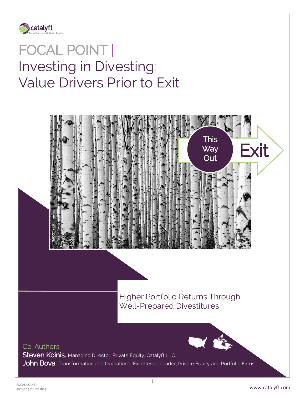

 $\frac{1}{\sqrt{2}}$ 

# FOCAL POINT | Investing in Divesting: Value Drivers Prior to Exit



Higher Portfolio Returns Through Well-Prepared Divestitures

# Co-Authors |

Steven Koinis, Managing Director, Private Equity, Catalyft LLC

John Bova, Transformation and Operational Excellence Leader, Private Equity and Portfolio Firms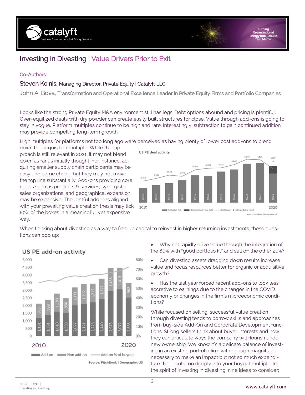

# Investing in Divesting | Value Drivers Prior to Exit

## Co-Authors:

## Steven Koinis, Managing Director, Private Equity | Catalyft LLC

John A. Bova, Transformation and Operational Excellence Leader in Private Equity Firms and Portfolio Companies

Looks like the strong Private Equity M&A environment still has legs. Debt options abound and pricing is plentiful. Over-equitized deals with dry powder can create easily built structures for close. Value through add-ons is going to stay in vogue. Platform multiples continue to be high and rare. Interestingly, subtraction to gain continued addition may provide compelling long-term growth.

High multiples for platforms not too long ago were perceived as having plenty of lower cost add-ons to blend

down the acquisition multiple. While that approach is still relevant in 2021, it may not blend down as far as initially thought. For instance, acquiring smaller supply chain participants may be easy and come cheap, but they may not move the top line substantially. Add-ons providing core needs such as products & services, synergistic sales organizations, and geographical expansion may be expensive. Thoughtful add-ons aligned with your prevailing value creation thesis may tick 80% of the boxes in a meaningful, yet expensive, way.



When thinking about divesting as a way to free up capital to reinvest in higher returning investments, these questions can pop up:



### US PE add-on activity

- Why not rapidly drive value through the integration of the 80% with "good portfolio fit" and sell off the other 20%?
- Can divesting assets dragging down results increase value and focus resources better for organic or acquisitive growth?

• Has the last year forced recent add-ons to look less accretive to earnings due to the changes in the COVID economy or changes in the firm's microeconomic conditions?

While focused on selling, successful value creation through divesting tends to borrow skills and approaches from buy-side Add-On and Corporate Development functions. Strong sellers think about buyer interests and how they can articulate ways the company will flourish under new ownership. We know it's a delicate balance of investing in an existing portfolio firm with enough magnitude necessary to make an impact but not so much expenditure that it cuts too deeply into your buyout multiple. In the spirit of investing in divesting, nine ideas to consider: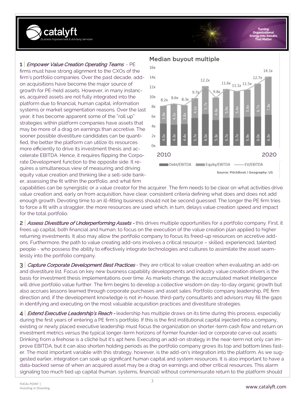

Turn

#### 1 *Empower Value Creation Operating Teams* - PE

firms must have strong alignment to the CXOs of the firm's portfolio companies. Over the past decade, addon acquisitions have become the major source of growth for PE-held assets. However, in many instances, acquired assets are not fully integrated into the platform due to financial, human capital, information systems or market segmentation reasons. Over the last year, it has become apparent some of the "roll up" strategies within platform companies have assets that may be more of a drag on earnings than accretive. The sooner possible divestiture candidates can be quantified, the better the platform can utilize its resources more efficiently to drive its investment thesis and accelerate EBITDA. Hence, it requires flipping the Corporate Development function to the opposite side. It requires a simultaneous view of measuring and driving equity value creation and thinking like a sell-side banker, assessing the fit within the portfolio, and what firm

#### Median buyout multiple



capabilities can be synergistic or a value creator for the acquirer. The firm needs to be clear on what activities drive value creation and, early on from acquisition, have clear, consistent criteria defining what does and does not add enough growth. Devoting time to an ill-fitting business should not be second guessed. The longer the PE firm tries to force a fit with a straggler, the more resources are used which, in turn, delays value creation speed and impact for the total portfolio.

2 Assess Divestiture of Underperforming Assets - this drives multiple opportunities for a portfolio company. First, it frees up capital, both financial and human, to focus on the execution of the value creation plan applied to higher returning investments. It also may allow the portfolio company to focus its freed-up resources on accretive addons. Furthermore, the path to value creating add-ons involves a critical resource – skilled, experienced, talented people - who possess the ability to effectively integrate technologies and cultures to assimilate the asset seamlessly into the portfolio company.

3 Capture Corporate Development Best Practices - they are critical to value creation when evaluating an add-on and divestiture list. Focus on key new business capability developments and industry value creation drivers is the basis for investment thesis implementations over time. As markets change, the accumulated market intelligence will drive portfolio value further. The firm begins to develop a collective wisdom on day-to-day organic growth but also accrues lessons learned through corporate purchases and asset sales. Portfolio company leadership, PE firm direction and, if the development knowledge is not in-house, third-party consultants and advisors may fill the gaps in identifying and executing on the most valuable acquisition practices and divestiture strategies.

4 *Extend Executive Leadership's Reach* - leadership has multiple draws on its time during this process, especially during the first years of entering a PE firm's portfolio. If this is the first institutional capital injected into a company, existing or newly placed executive leadership must focus the organization on shorter-term cash flow and return on investment metrics versus the typical longer-term horizons of former founder-led or corporate carve-out assets. Drinking from a firehose is a cliché but it's apt here. Executing an add-on strategy in the near-term not only can improve EBITDA, but it can also shorten holding periods as the portfolio company grows its top and bottom lines faster. The most important variable with this strategy, however, is the add-on's integration into the platform. As we suggested earlier, integration can soak up significant human capital and system resources. It is also important to have a data-backed sense of when an acquired asset may be a drag on earnings and other critical resources. This alarm signaling too much tied up capital (human, systems, financial) without commensurate return to the platform should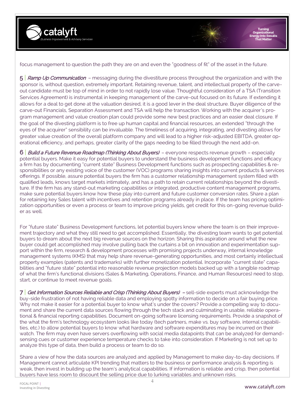

Turni

focus management to question the path they are on and even the "goodness of fit" of the asset in the future.

5 **Ramp Up Communication** – messaging during the divestiture process throughout the organization and with the sponsor is, without question, extremely important. Retaining revenue, talent, and intellectual property of the carveout candidate must be top of mind in order to not rapidly lose value. Thoughtful consideration of a TSA (Transition Services Agreement) is instrumental in keeping management of the carve-out focused on its future. If extending it allows for a deal to get done at the valuation desired, it is a good lever in the deal structure. Buyer diligence of the carve-out Financials, Separation Assessment and TSA will help the transaction. Working with the acquirer's program management and value creation plan could provide some new best practices and an easier deal closure. If the goal of the divesting platform is to free up human capital and financial resources, an extended "through the eyes of the acquirer" sensibility can be invaluable. The timeliness of acquiring, integrating, and divesting allows for greater value creation of the overall platform company and will lead to a higher risk-adjusted EBITDA, greater operational efficiency, and perhaps, greater clarity of the gaps needing to be filled through the next add-on.

6 | Build a Future Revenue Roadmap (Thinking About Buyers) - everyone respects revenue growth - especially potential buyers. Make it easy for potential buyers to understand the business development functions and efficacy a firm has by documenting "current state" Business Development functions such as prospecting capabilities & responsibilities or any existing voice of the customer (VOC) programs sharing insights into current products & services offerings. If possible, assure potential buyers the firm has a customer relationship management system filled with qualified leads, knows target markets intimately, and has a path to retain current relationships beyond the divestiture. If the firm has any stand-out marketing capabilities or integrated, productive content management programs, make sure potential buyers know how these play into current and future customer conversion rates. Share a plan for retaining key Sales talent with incentives and retention programs already in place. If the team has pricing optimization opportunities or even a process or team to improve pricing yields, get credit for this on-going revenue builder as well.

For "future state" Business Development functions, let potential buyers know where the team is on their improvement trajectory and what they still need to get accomplished. Essentially, the divesting team wants to get potential buyers to dream about the next big revenue sources on the horizon. Sharing this aspiration around what the new buyer could get accomplished may involve pulling back the curtains a bit on innovation and experimentation support within the firm, research & development processes with promising projects underway, internal knowledge management systems (KMS) that may help share revenue-generating opportunities, and most certainly intellectual property examples (patents and trademarks) with further monetization potential. Incorporate "current state" capabilities and "future state" potential into reasonable revenue projection models backed up with a tangible roadmap of what the firm's functional divisions (Sales & Marketing, Operations, Finance, and Human Resources) need to stop, start, or continue to meet revenue goals.

7 Get Information Sources Reliable and Crisp (Thinking About Buyers) – sell-side experts must acknowledge the buy-side frustration of not having reliable data and employing spotty information to decide on a fair buying price. Why not make it easier for a potential buyer to know what's under the covers? Provide a compelling way to document and share the current data sources flowing through the tech stack and culminating in usable, reliable operational & financial reporting capabilities. Document on-going software licensing requirements. Provide a snapshot of the what the firm's technology ecosystem looks like today (tech partners, make vs. buy software, internal capabilities, etc.) to allow potential buyers to know what hardware and software expenditures may be incurred on their watch. The firm may even have servers overflowing with social media datapoints that can be analyzed for demandsensing cues or customer experience temperature checks to take into consideration. If Marketing is not set up to analyze this type of data, then build a process or team to do so.

Share a view of how the data sources are analyzed and applied by Management to make day-to-day decisions. If Management cannot articulate KPI trending that matters to the business or performance analysis & reporting is weak, then invest in building up the team's analytical capabilities. If information is reliable and crisp, then potential buyers have less room to discount the selling price due to lurking variables and unknown risks.